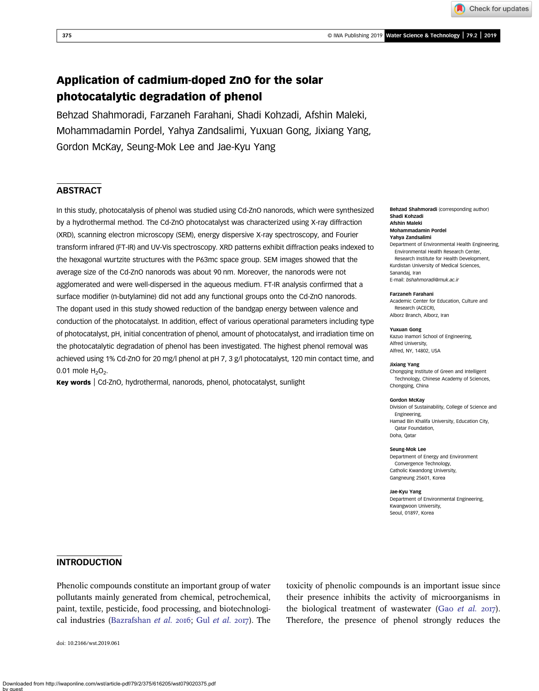Check for updates

# Application of cadmium-doped ZnO for the solar photocatalytic degradation of phenol

Behzad Shahmoradi, Farzaneh Farahani, Shadi Kohzadi, Afshin Maleki, Mohammadamin Pordel, Yahya Zandsalimi, Yuxuan Gong, Jixiang Yang, Gordon McKay, Seung-Mok Lee and Jae-Kyu Yang

# **ABSTRACT**

In this study, photocatalysis of phenol was studied using Cd-ZnO nanorods, which were synthesized by a hydrothermal method. The Cd-ZnO photocatalyst was characterized using X-ray diffraction (XRD), scanning electron microscopy (SEM), energy dispersive X-ray spectroscopy, and Fourier transform infrared (FT-IR) and UV-Vis spectroscopy. XRD patterns exhibit diffraction peaks indexed to the hexagonal wurtzite structures with the P63mc space group. SEM images showed that the average size of the Cd-ZnO nanorods was about 90 nm. Moreover, the nanorods were not agglomerated and were well-dispersed in the aqueous medium. FT-IR analysis confirmed that a surface modifier (n-butylamine) did not add any functional groups onto the Cd-ZnO nanorods. The dopant used in this study showed reduction of the bandgap energy between valence and conduction of the photocatalyst. In addition, effect of various operational parameters including type of photocatalyst, pH, initial concentration of phenol, amount of photocatalyst, and irradiation time on the photocatalytic degradation of phenol has been investigated. The highest phenol removal was achieved using 1% Cd-ZnO for 20 mg/l phenol at pH 7, 3 g/l photocatalyst, 120 min contact time, and 0.01 mole  $H_2O_2$ .

Key words | Cd-ZnO, hydrothermal, nanorods, phenol, photocatalyst, sunlight

Behzad Shahmoradi (corresponding author) Shadi Kohzad Afshin Maleki

### Mohammadamin Pordel

- Yahya Zandsalimi Department of Environmental Health Engineering, Environmental Health Research Center, Research Institute for Health Development, Kurdistan University of Medical Sciences, Sanandaj, Iran
- E-mail: [bshahmoradi@muk.ac.ir](mailto:bshahmoradi@muk.ac.ir)

#### Farzaneh Farahani

Academic Center for Education, Culture and Research (ACECR), Alborz Branch, Alborz, Iran

#### Yuxuan Gong

Kazuo Inamori School of Engineering, Alfred University, Alfred, NY, 14802, USA

#### Jixiang Yang

Chongqing Institute of Green and Intelligent Technology, Chinese Academy of Sciences, Chongqing, China

#### Gordon McKay

Division of Sustainability, College of Science and Engineering, Hamad Bin Khalifa University, Education City, Qatar Foundation, Doha, Qatar

#### Seung-Mok Lee

Department of Energy and Environment Convergence Technology, Catholic Kwandong University, Gangneung 25601, Korea

Jae-Kyu Yang

Department of Environmental Engineering, Kwangwoon University, Seoul, 01897, Korea

### INTRODUCTION

Phenolic compounds constitute an important group of water pollutants mainly generated from chemical, petrochemical, paint, textile, pesticide, food processing, and biotechnologi-cal industries [\(Bazrafshan](#page-8-0) [et al.](#page-8-0) 2016; Gul et al. 2017). The

doi: 10.2166/wst.2019.061

toxicity of phenolic compounds is an important issue since their presence inhibits the activity of microorganisms in the biological treatment of wastewater (Gao [et al.](#page-8-0)  $2017$ ). Therefore, the presence of phenol strongly reduces the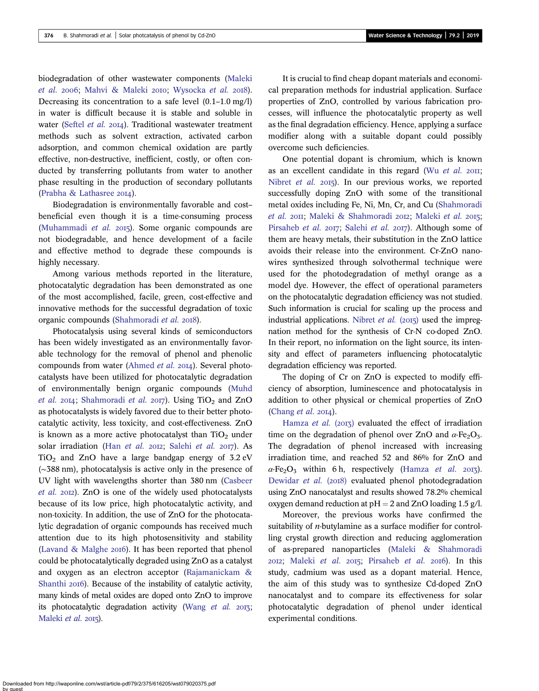biodegradation of other wastewater components [\(Maleki](#page-8-0) [et al.](#page-8-0) 2006: [Mahvi & Maleki](#page-8-0) 2010: [Wysocka](#page-10-0) et al. 2018). Decreasing its concentration to a safe level (0.1–1.0 mg/l) in water is difficult because it is stable and soluble in water ([Seftel](#page-9-0) et al. 2014). Traditional wastewater treatment methods such as solvent extraction, activated carbon adsorption, and common chemical oxidation are partly effective, non-destructive, inefficient, costly, or often conducted by transferring pollutants from water to another phase resulting in the production of secondary pollutants ([Prabha & Lathasree](#page-9-0)  $2014$ ).

Biodegradation is environmentally favorable and cost– beneficial even though it is a time-consuming process ([Muhammadi](#page-9-0) et al.  $2015$ ). Some organic compounds are not biodegradable, and hence development of a facile and effective method to degrade these compounds is highly necessary.

Among various methods reported in the literature, photocatalytic degradation has been demonstrated as one of the most accomplished, facile, green, cost-effective and innovative methods for the successful degradation of toxic organic compounds [\(Shahmoradi](#page-9-0) et al. 2018).

Photocatalysis using several kinds of semiconductors has been widely investigated as an environmentally favorable technology for the removal of phenol and phenolic compounds from water [\(Ahmed](#page-8-0) *et al.* 2014). Several photocatalysts have been utilized for photocatalytic degradation of environmentally benign organic compounds [\(Muhd](#page-9-0) [et al.](#page-9-0) 2014; [Shahmoradi](#page-9-0) et al. 2017). Using  $TiO<sub>2</sub>$  and  $ZnO$ as photocatalysts is widely favored due to their better photocatalytic activity, less toxicity, and cost-effectiveness. ZnO is known as a more active photocatalyst than  $TiO<sub>2</sub>$  under solar irradiation (Han [et al.](#page-8-0) 2012; [Salehi](#page-9-0) et al. 2017). As  $TiO<sub>2</sub>$  and ZnO have a large bandgap energy of 3.2 eV (∼388 nm), photocatalysis is active only in the presence of UV light with wavelengths shorter than 380 nm [\(Casbeer](#page-8-0) [et al.](#page-8-0) 2012). ZnO is one of the widely used photocatalysts because of its low price, high photocatalytic activity, and non-toxicity. In addition, the use of ZnO for the photocatalytic degradation of organic compounds has received much attention due to its high photosensitivity and stability (Lavand  $&$  Malghe 2016). It has been reported that phenol could be photocatalytically degraded using ZnO as a catalyst and oxygen as an electron acceptor ([Rajamanickam &](#page-9-0) [Shanthi](#page-9-0) 2016). Because of the instability of catalytic activity, many kinds of metal oxides are doped onto ZnO to improve its photocatalytic degradation activity [\(Wang](#page-9-0)  $et$   $al.$  2013; [Maleki](#page-8-0) et al. 2015).

It is crucial to find cheap dopant materials and economical preparation methods for industrial application. Surface properties of ZnO, controlled by various fabrication processes, will influence the photocatalytic property as well as the final degradation efficiency. Hence, applying a surface modifier along with a suitable dopant could possibly overcome such deficiencies.

One potential dopant is chromium, which is known as an excellent candidate in this regard (Wu [et al.](#page-9-0)  $20\text{H}$ ; [Nibret](#page-9-0) et al. 2015). In our previous works, we reported successfully doping ZnO with some of the transitional metal oxides including Fe, Ni, Mn, Cr, and Cu ([Shahmoradi](#page-9-0) [et al.](#page-9-0) 2011; [Maleki & Shahmoradi](#page-8-0) 2012; [Maleki](#page-8-0) et al. 2015; [Pirsaheb](#page-9-0) et al. 2017; [Salehi](#page-9-0) et al. 2017). Although some of them are heavy metals, their substitution in the ZnO lattice avoids their release into the environment. Cr-ZnO nanowires synthesized through solvothermal technique were used for the photodegradation of methyl orange as a model dye. However, the effect of operational parameters on the photocatalytic degradation efficiency was not studied. Such information is crucial for scaling up the process and industrial applications. [Nibret](#page-9-0) *et al.* ( $2015$ ) used the impregnation method for the synthesis of Cr-N co-doped ZnO. In their report, no information on the light source, its intensity and effect of parameters influencing photocatalytic degradation efficiency was reported.

The doping of Cr on ZnO is expected to modify efficiency of absorption, luminescence and photocatalysis in addition to other physical or chemical properties of ZnO ([Chang](#page-8-0) et al. 2014).

[Hamza](#page-8-0) et al.  $(2013)$  evaluated the effect of irradiation time on the degradation of phenol over ZnO and  $\alpha$ -Fe<sub>2</sub>O<sub>3</sub>. The degradation of phenol increased with increasing irradiation time, and reached 52 and 86% for ZnO and  $\alpha$ -Fe<sub>2</sub>O<sub>3</sub> within 6 h, respectively ([Hamza](#page-8-0) et al. 2013). [Dewidar](#page-8-0) et al. (2018) evaluated phenol photodegradation using ZnO nanocatalyst and results showed 78.2% chemical oxygen demand reduction at  $pH = 2$  and ZnO loading 1.5 g/l.

Moreover, the previous works have confirmed the suitability of  $n$ -butylamine as a surface modifier for controlling crystal growth direction and reducing agglomeration of as-prepared nanoparticles [\(Maleki & Shahmoradi](#page-8-0)  $20I2$ ; [Maleki](#page-8-0) et al.  $20I5$ ; [Pirsaheb](#page-9-0) et al.  $20I6$ ). In this study, cadmium was used as a dopant material. Hence, the aim of this study was to synthesize Cd-doped ZnO nanocatalyst and to compare its effectiveness for solar photocatalytic degradation of phenol under identical experimental conditions.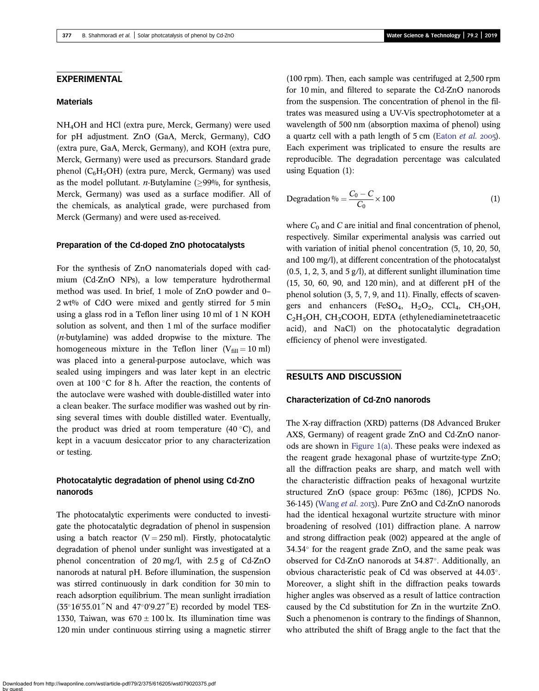## EXPERIMENTAL

### **Materials**

NH4OH and HCl (extra pure, Merck, Germany) were used for pH adjustment. ZnO (GaA, Merck, Germany), CdO (extra pure, GaA, Merck, Germany), and KOH (extra pure, Merck, Germany) were used as precursors. Standard grade phenol ( $C_6H_5OH$ ) (extra pure, Merck, Germany) was used as the model pollutant. *n*-Butylamine ( $\geq$ 99%, for synthesis, Merck, Germany) was used as a surface modifier. All of the chemicals, as analytical grade, were purchased from Merck (Germany) and were used as-received.

#### Preparation of the Cd-doped ZnO photocatalysts

For the synthesis of ZnO nanomaterials doped with cadmium (Cd-ZnO NPs), a low temperature hydrothermal method was used. In brief, 1 mole of ZnO powder and 0– 2 wt% of CdO were mixed and gently stirred for 5 min using a glass rod in a Teflon liner using 10 ml of 1 N KOH solution as solvent, and then 1 ml of the surface modifier  $(n$ -butylamine) was added dropwise to the mixture. The homogeneous mixture in the Teflon liner ( $V_{\text{fill}} = 10 \text{ ml}$ ) was placed into a general-purpose autoclave, which was sealed using impingers and was later kept in an electric oven at  $100^{\circ}$ C for 8 h. After the reaction, the contents of the autoclave were washed with double-distilled water into a clean beaker. The surface modifier was washed out by rinsing several times with double distilled water. Eventually, the product was dried at room temperature  $(40\degree C)$ , and kept in a vacuum desiccator prior to any characterization or testing.

# Photocatalytic degradation of phenol using Cd-ZnO nanorods

The photocatalytic experiments were conducted to investigate the photocatalytic degradation of phenol in suspension using a batch reactor  $(V = 250 \text{ ml})$ . Firstly, photocatalytic degradation of phenol under sunlight was investigated at a phenol concentration of 20 mg/l, with 2.5 g of Cd-ZnO nanorods at natural pH. Before illumination, the suspension was stirred continuously in dark condition for 30 min to reach adsorption equilibrium. The mean sunlight irradiation  $(35^{\circ}16'55.01''$ N and  $47^{\circ}0'9.27''$ E) recorded by model TES-1330, Taiwan, was  $670 \pm 100$  lx. Its illumination time was 120 min under continuous stirring using a magnetic stirrer

(100 rpm). Then, each sample was centrifuged at 2,500 rpm for 10 min, and filtered to separate the Cd-ZnO nanorods from the suspension. The concentration of phenol in the filtrates was measured using a UV-Vis spectrophotometer at a wavelength of 500 nm (absorption maxima of phenol) using a quartz cell with a path length of  $5 \text{ cm}$  ([Eaton](#page-8-0) *et al.* 2005). Each experiment was triplicated to ensure the results are reproducible. The degradation percentage was calculated using Equation (1):

$$
\text{Degradation } \% = \frac{C_0 - C}{C_0} \times 100 \tag{1}
$$

where  $C_0$  and  $C$  are initial and final concentration of phenol, respectively. Similar experimental analysis was carried out with variation of initial phenol concentration (5, 10, 20, 50, and 100 mg/l), at different concentration of the photocatalyst  $(0.5, 1, 2, 3, \text{ and } 5 \text{ g/l})$ , at different sunlight illumination time (15, 30, 60, 90, and 120 min), and at different pH of the phenol solution (3, 5, 7, 9, and 11). Finally, effects of scavengers and enhancers (FeSO<sub>4</sub>, H<sub>2</sub>O<sub>2</sub>, CCl<sub>4</sub>, CH<sub>3</sub>OH, C<sub>2</sub>H<sub>5</sub>OH, CH<sub>3</sub>COOH, EDTA (ethylenediaminetetraacetic acid), and NaCl) on the photocatalytic degradation efficiency of phenol were investigated.

# RESULTS AND DISCUSSION

### Characterization of Cd-ZnO nanorods

The X-ray diffraction (XRD) patterns (D8 Advanced Bruker AXS, Germany) of reagent grade ZnO and Cd-ZnO nanorods are shown in [Figure 1\(a\).](#page-3-0) These peaks were indexed as the reagent grade hexagonal phase of wurtzite-type ZnO; all the diffraction peaks are sharp, and match well with the characteristic diffraction peaks of hexagonal wurtzite structured ZnO (space group: P63mc (186), JCPDS No. 36-145) ([Wang](#page-9-0) et al. 2013). Pure ZnO and Cd-ZnO nanorods had the identical hexagonal wurtzite structure with minor broadening of resolved (101) diffraction plane. A narrow and strong diffraction peak (002) appeared at the angle of  $34.34^{\circ}$  for the reagent grade ZnO, and the same peak was observed for Cd-ZnO nanorods at 34.87°. Additionally, an obvious characteristic peak of Cd was observed at 44.03. Moreover, a slight shift in the diffraction peaks towards higher angles was observed as a result of lattice contraction caused by the Cd substitution for Zn in the wurtzite ZnO. Such a phenomenon is contrary to the findings of Shannon, who attributed the shift of Bragg angle to the fact that the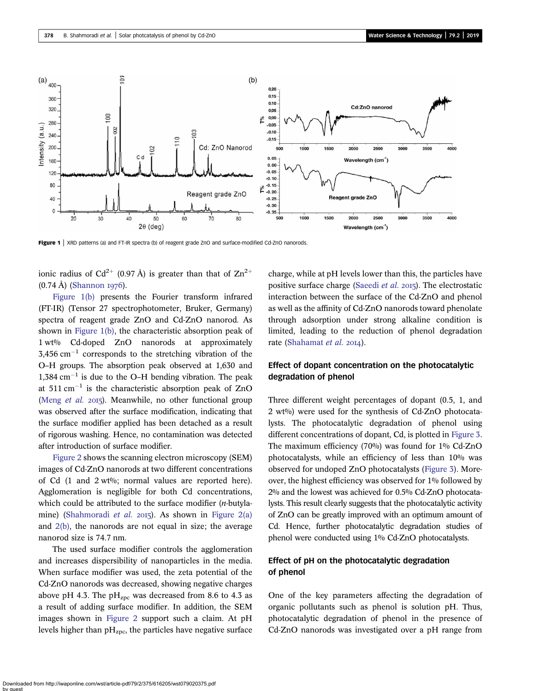<span id="page-3-0"></span>

Figure 1 | XRD patterns (a) and FT-IR spectra (b) of reagent grade ZnO and surface-modified Cd-ZnO nanorods.

ionic radius of Cd<sup>2+</sup> (0.97 Å) is greater than that of  $\text{Zn}^{2+}$  $(0.74 \text{ Å})$  ([Shannon](#page-9-0) 1976).

Figure 1(b) presents the Fourier transform infrared (FT-IR) (Tensor 27 spectrophotometer, Bruker, Germany) spectra of reagent grade ZnO and Cd-ZnO nanorod. As shown in Figure 1(b), the characteristic absorption peak of 1 wt% Cd-doped ZnO nanorods at approximately  $3,456$  cm<sup>-1</sup> corresponds to the stretching vibration of the O–H groups. The absorption peak observed at 1,630 and  $1,384$  cm<sup>-1</sup> is due to the O-H bending vibration. The peak at  $511 \text{ cm}^{-1}$  is the characteristic absorption peak of ZnO [\(Meng](#page-9-0)  $et$  al.  $2015$ ). Meanwhile, no other functional group was observed after the surface modification, indicating that the surface modifier applied has been detached as a result of rigorous washing. Hence, no contamination was detected after introduction of surface modifier.

[Figure 2](#page-4-0) shows the scanning electron microscopy (SEM) images of Cd-ZnO nanorods at two different concentrations of Cd  $(1 \text{ and } 2 \text{ wt\%})$ ; normal values are reported here). Agglomeration is negligible for both Cd concentrations, which could be attributed to the surface modifier (*n*-butyla-mine) [\(Shahmoradi](#page-9-0) *et al.* 2015). As shown in [Figure 2\(a\)](#page-4-0) and [2\(b\),](#page-4-0) the nanorods are not equal in size; the average nanorod size is 74.7 nm.

The used surface modifier controls the agglomeration and increases dispersibility of nanoparticles in the media. When surface modifier was used, the zeta potential of the Cd-ZnO nanorods was decreased, showing negative charges above pH 4.3. The  $\rm pH_{Zpc}$  was decreased from 8.6 to 4.3 as a result of adding surface modifier. In addition, the SEM images shown in [Figure 2](#page-4-0) support such a claim. At pH levels higher than  $pH<sub>zpc</sub>$ , the particles have negative surface charge, while at pH levels lower than this, the particles have positive surface charge [\(Saeedi](#page-9-0) *et al.* 2015). The electrostatic interaction between the surface of the Cd-ZnO and phenol as well as the affinity of Cd-ZnO nanorods toward phenolate through adsorption under strong alkaline condition is limited, leading to the reduction of phenol degradation rate ([Shahamat](#page-9-0) et al. 2014).

# Effect of dopant concentration on the photocatalytic degradation of phenol

Three different weight percentages of dopant (0.5, 1, and 2 wt%) were used for the synthesis of Cd-ZnO photocatalysts. The photocatalytic degradation of phenol using different concentrations of dopant, Cd, is plotted in [Figure 3](#page-5-0). The maximum efficiency (70%) was found for 1% Cd-ZnO photocatalysts, while an efficiency of less than 10% was observed for undoped ZnO photocatalysts [\(Figure 3](#page-5-0)). Moreover, the highest efficiency was observed for 1% followed by 2% and the lowest was achieved for 0.5% Cd-ZnO photocatalysts. This result clearly suggests that the photocatalytic activity of ZnO can be greatly improved with an optimum amount of Cd. Hence, further photocatalytic degradation studies of phenol were conducted using 1% Cd-ZnO photocatalysts.

# Effect of pH on the photocatalytic degradation of phenol

One of the key parameters affecting the degradation of organic pollutants such as phenol is solution pH. Thus, photocatalytic degradation of phenol in the presence of Cd-ZnO nanorods was investigated over a pH range from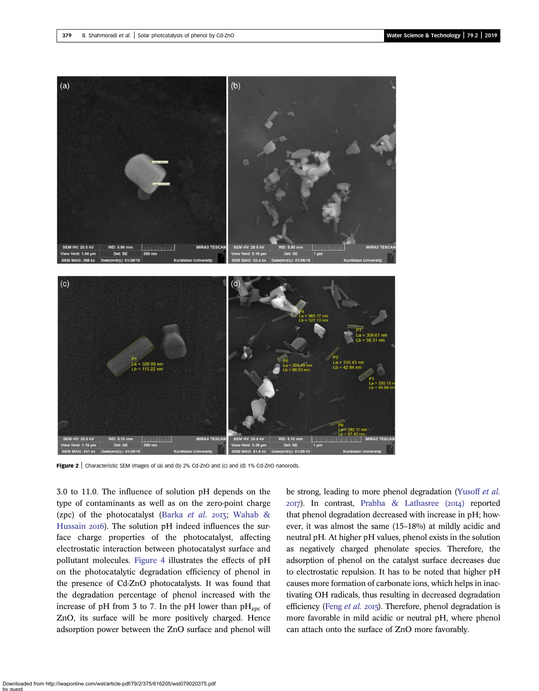<span id="page-4-0"></span>

Figure 2 | Characteristic SEM images of (a) and (b) 2% Cd-ZnO and (c) and (d) 1% Cd-ZnO nanorods.

3.0 to 11.0. The influence of solution pH depends on the type of contaminants as well as on the zero-point charge (zpc) of the photocatalyst ([Barka](#page-8-0) et al. 2013; [Wahab &](#page-9-0) [Hussain](#page-9-0) 2016). The solution pH indeed influences the surface charge properties of the photocatalyst, affecting electrostatic interaction between photocatalyst surface and pollutant molecules. [Figure 4](#page-5-0) illustrates the effects of pH on the photocatalytic degradation efficiency of phenol in the presence of Cd-ZnO photocatalysts. It was found that the degradation percentage of phenol increased with the increase of pH from 3 to 7. In the pH lower than  $pH_{zpc}$  of ZnO, its surface will be more positively charged. Hence adsorption power between the ZnO surface and phenol will

be strong, leading to more phenol degradation [\(Yusoff](#page-10-0) et al.  $2017$ ). In contrast, Prabha & Lathasree  $(2014)$  reported that phenol degradation decreased with increase in pH; however, it was almost the same (15–18%) at mildly acidic and neutral pH. At higher pH values, phenol exists in the solution as negatively charged phenolate species. Therefore, the adsorption of phenol on the catalyst surface decreases due to electrostatic repulsion. It has to be noted that higher pH causes more formation of carbonate ions, which helps in inactivating OH radicals, thus resulting in decreased degradation efficiency (Feng [et al.](#page-8-0) 2015). Therefore, phenol degradation is more favorable in mild acidic or neutral pH, where phenol can attach onto the surface of ZnO more favorably.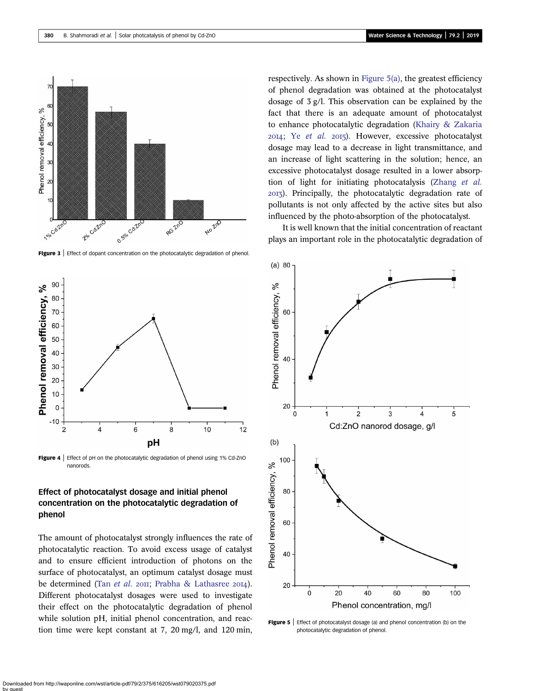<span id="page-5-0"></span>

Figure 3 | Effect of dopant concentration on the photocatalytic degradation of phenol.



Figure 4 | Effect of pH on the photocatalytic degradation of phenol using 1% Cd-ZnO nanorods.

# Effect of photocatalyst dosage and initial phenol concentration on the photocatalytic degradation of phenol

The amount of photocatalyst strongly influences the rate of photocatalytic reaction. To avoid excess usage of catalyst and to ensure efficient introduction of photons on the surface of photocatalyst, an optimum catalyst dosage must be determined (Tan [et al.](#page-9-0) 2011; [Prabha & Lathasree](#page-9-0) 2014). Different photocatalyst dosages were used to investigate their effect on the photocatalytic degradation of phenol while solution pH, initial phenol concentration, and reaction time were kept constant at 7, 20 mg/l, and 120 min, respectively. As shown in Figure 5(a), the greatest efficiency of phenol degradation was obtained at the photocatalyst dosage of 3 g/l. This observation can be explained by the fact that there is an adequate amount of photocatalyst to enhance photocatalytic degradation [\(Khairy & Zakaria](#page-8-0)  $20I4$ ; Ye [et al.](#page-10-0)  $20I5$ ). However, excessive photocatalyst dosage may lead to a decrease in light transmittance, and an increase of light scattering in the solution; hence, an excessive photocatalyst dosage resulted in a lower absorption of light for initiating photocatalysis ([Zhang](#page-10-0) et al. ). Principally, the photocatalytic degradation rate of pollutants is not only affected by the active sites but also influenced by the photo-absorption of the photocatalyst.

It is well known that the initial concentration of reactant plays an important role in the photocatalytic degradation of



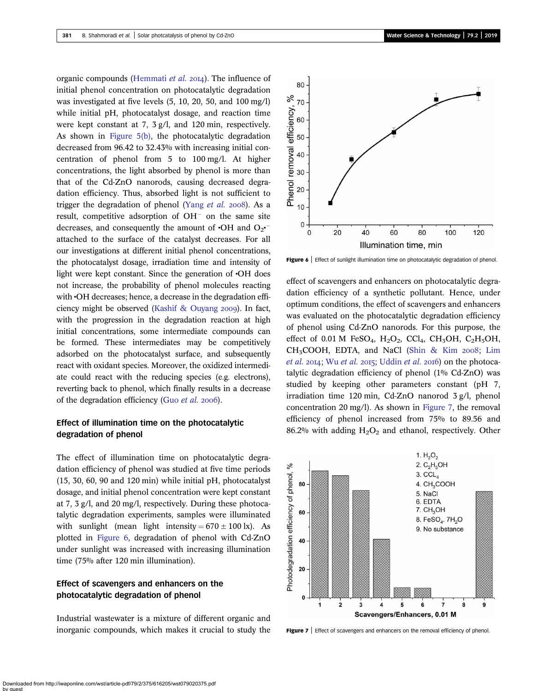organic compounds [\(Hemmati](#page-8-0) et al. 2014). The influence of initial phenol concentration on photocatalytic degradation was investigated at five levels (5, 10, 20, 50, and 100 mg/l) while initial pH, photocatalyst dosage, and reaction time were kept constant at 7, 3 g/l, and 120 min, respectively. As shown in [Figure 5\(b\),](#page-5-0) the photocatalytic degradation decreased from 96.42 to 32.43% with increasing initial concentration of phenol from 5 to 100 mg/l. At higher concentrations, the light absorbed by phenol is more than that of the Cd-ZnO nanorods, causing decreased degradation efficiency. Thus, absorbed light is not sufficient to trigger the degradation of phenol (Yang [et al.](#page-10-0)  $2008$ ). As a result, competitive adsorption of  $OH^-$  on the same site decreases, and consequently the amount of  $\cdot$ OH and O<sub>2</sub> $\cdot$ <sup>-</sup> attached to the surface of the catalyst decreases. For all our investigations at different initial phenol concentrations, the photocatalyst dosage, irradiation time and intensity of light were kept constant. Since the generation of •OH does not increase, the probability of phenol molecules reacting with •OH decreases; hence, a decrease in the degradation effi-ciency might be observed [\(Kashif & Ouyang](#page-8-0)  $2009$ ). In fact, with the progression in the degradation reaction at high initial concentrations, some intermediate compounds can be formed. These intermediates may be competitively adsorbed on the photocatalyst surface, and subsequently react with oxidant species. Moreover, the oxidized intermediate could react with the reducing species (e.g. electrons), reverting back to phenol, which finally results in a decrease of the degradation efficiency (Guo [et al.](#page-8-0) 2006).

# Effect of illumination time on the photocatalytic degradation of phenol

The effect of illumination time on photocatalytic degradation efficiency of phenol was studied at five time periods (15, 30, 60, 90 and 120 min) while initial pH, photocatalyst dosage, and initial phenol concentration were kept constant at 7, 3 g/l, and 20 mg/l, respectively. During these photocatalytic degradation experiments, samples were illuminated with sunlight (mean light intensity =  $670 \pm 100$  lx). As plotted in Figure 6, degradation of phenol with Cd-ZnO under sunlight was increased with increasing illumination time (75% after 120 min illumination).

# Effect of scavengers and enhancers on the photocatalytic degradation of phenol

Industrial wastewater is a mixture of different organic and inorganic compounds, which makes it crucial to study the



Figure 6 | Effect of sunlight illumination time on photocatalytic degradation of phenol.

effect of scavengers and enhancers on photocatalytic degradation efficiency of a synthetic pollutant. Hence, under optimum conditions, the effect of scavengers and enhancers was evaluated on the photocatalytic degradation efficiency of phenol using Cd-ZnO nanorods. For this purpose, the effect of 0.01 M FeSO<sub>4</sub>, H<sub>2</sub>O<sub>2</sub>, CCl<sub>4</sub>, CH<sub>3</sub>OH, C<sub>2</sub>H<sub>5</sub>OH,  $CH<sub>3</sub>COOH$ , EDTA, and NaCl ([Shin & Kim](#page-9-0) 2008; [Lim](#page-8-0) [et al.](#page-9-0) 2014; Wu et al. 2015; [Uddin](#page-9-0) et al. 2016) on the photocatalytic degradation efficiency of phenol (1% Cd-ZnO) was studied by keeping other parameters constant (pH 7, irradiation time 120 min, Cd-ZnO nanorod 3 g/l, phenol concentration 20 mg/l). As shown in Figure 7, the removal efficiency of phenol increased from 75% to 89.56 and 86.2% with adding  $H_2O_2$  and ethanol, respectively. Other



Figure 7 | Effect of scavengers and enhancers on the removal efficiency of phenol.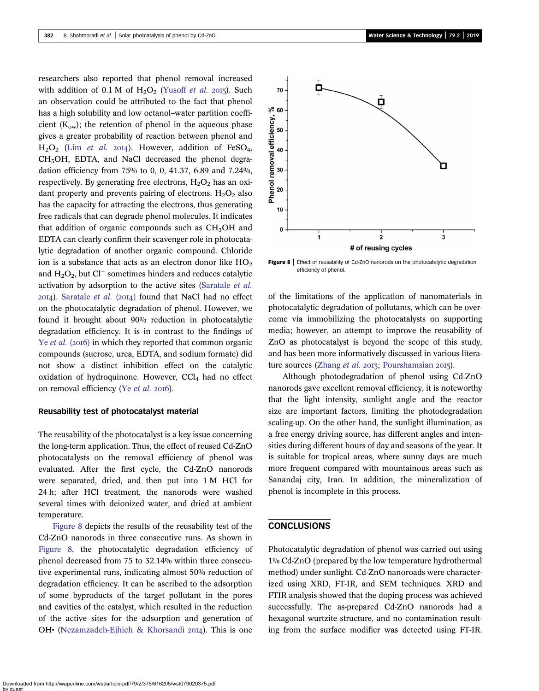researchers also reported that phenol removal increased with addition of 0.1 M of  $H_2O_2$  [\(Yusoff](#page-10-0) et al. 2015). Such an observation could be attributed to the fact that phenol has a high solubility and low octanol–water partition coefficient  $(K<sub>ow</sub>)$ ; the retention of phenol in the aqueous phase gives a greater probability of reaction between phenol and  $H<sub>2</sub>O<sub>2</sub>$  (Lim [et al.](#page-8-0) 2014). However, addition of FeSO<sub>4</sub>, CH<sub>3</sub>OH, EDTA, and NaCl decreased the phenol degradation efficiency from 75% to 0, 0, 41.37, 6.89 and 7.24%, respectively. By generating free electrons,  $H_2O_2$  has an oxidant property and prevents pairing of electrons.  $H_2O_2$  also has the capacity for attracting the electrons, thus generating free radicals that can degrade phenol molecules. It indicates that addition of organic compounds such as  $CH<sub>3</sub>OH$  and EDTA can clearly confirm their scavenger role in photocatalytic degradation of another organic compound. Chloride ion is a substance that acts as an electron donor like  $HO<sub>2</sub>$ and  $H_2O_2$ , but Cl<sup>-</sup> sometimes hinders and reduces catalytic activation by adsorption to the active sites ([Saratale](#page-9-0) et al.  $20I4$ ). [Saratale](#page-9-0) *et al.* ( $20I4$ ) found that NaCl had no effect on the photocatalytic degradation of phenol. However, we found it brought about 90% reduction in photocatalytic degradation efficiency. It is in contrast to the findings of Ye *[et al.](#page-10-0)* (2016) in which they reported that common organic compounds (sucrose, urea, EDTA, and sodium formate) did not show a distinct inhibition effect on the catalytic oxidation of hydroquinone. However,  $CCl<sub>4</sub>$  had no effect on removal efficiency (Ye [et al.](#page-10-0) 2016).

#### Reusability test of photocatalyst material

The reusability of the photocatalyst is a key issue concerning the long-term application. Thus, the effect of reused Cd-ZnO photocatalysts on the removal efficiency of phenol was evaluated. After the first cycle, the Cd-ZnO nanorods were separated, dried, and then put into 1 M HCl for 24 h; after HCl treatment, the nanorods were washed several times with deionized water, and dried at ambient temperature.

Figure 8 depicts the results of the reusability test of the Cd-ZnO nanorods in three consecutive runs. As shown in Figure 8, the photocatalytic degradation efficiency of phenol decreased from 75 to 32.14% within three consecutive experimental runs, indicating almost 50% reduction of degradation efficiency. It can be ascribed to the adsorption of some byproducts of the target pollutant in the pores and cavities of the catalyst, which resulted in the reduction of the active sites for the adsorption and generation of OH• [\(Nezamzadeh-Ejhieh & Khorsandi](#page-9-0) 2014). This is one



Figure 8 | Effect of reusability of Cd-ZnO nanorods on the photocatalytic degradation efficiency of phenol.

of the limitations of the application of nanomaterials in photocatalytic degradation of pollutants, which can be overcome via immobilizing the photocatalysts on supporting media; however, an attempt to improve the reusability of ZnO as photocatalyst is beyond the scope of this study, and has been more informatively discussed in various litera-ture sources ([Zhang](#page-10-0) *et al.* 2013; [Pourshamsian](#page-9-0) 2015).

Although photodegradation of phenol using Cd-ZnO nanorods gave excellent removal efficiency, it is noteworthy that the light intensity, sunlight angle and the reactor size are important factors, limiting the photodegradation scaling-up. On the other hand, the sunlight illumination, as a free energy driving source, has different angles and intensities during different hours of day and seasons of the year. It is suitable for tropical areas, where sunny days are much more frequent compared with mountainous areas such as Sanandaj city, Iran. In addition, the mineralization of phenol is incomplete in this process.

### CONCLUSIONS

Photocatalytic degradation of phenol was carried out using 1% Cd-ZnO (prepared by the low temperature hydrothermal method) under sunlight. Cd-ZnO nanoroads were characterized using XRD, FT-IR, and SEM techniques. XRD and FTIR analysis showed that the doping process was achieved successfully. The as-prepared Cd-ZnO nanorods had a hexagonal wurtzite structure, and no contamination resulting from the surface modifier was detected using FT-IR.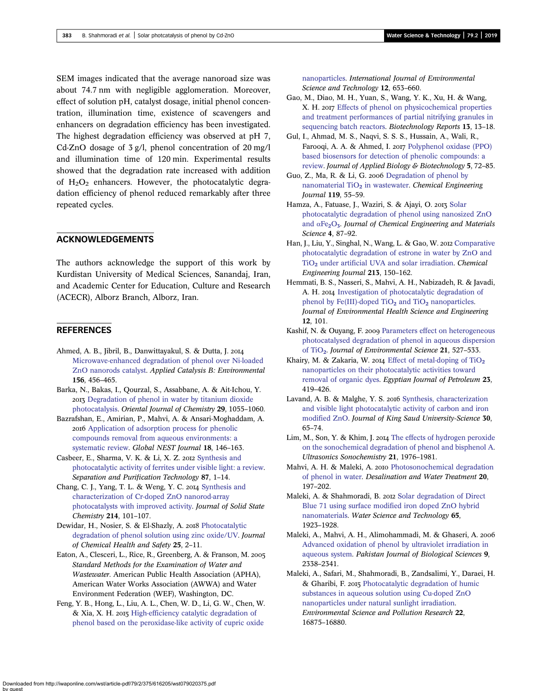<span id="page-8-0"></span>SEM images indicated that the average nanoroad size was about 74.7 nm with negligible agglomeration. Moreover, effect of solution pH, catalyst dosage, initial phenol concentration, illumination time, existence of scavengers and enhancers on degradation efficiency has been investigated. The highest degradation efficiency was observed at pH 7, Cd-ZnO dosage of 3 g/l, phenol concentration of 20 mg/l and illumination time of 120 min. Experimental results showed that the degradation rate increased with addition of  $H_2O_2$  enhancers. However, the photocatalytic degradation efficiency of phenol reduced remarkably after three repeated cycles.

### ACKNOWLEDGEMENTS

The authors acknowledge the support of this work by Kurdistan University of Medical Sciences, Sanandaj, Iran, and Academic Center for Education, Culture and Research (ACECR), Alborz Branch, Alborz, Iran.

### **REFERENCES**

- Ahmed, A. B., Jibril, B., Danwittayakul, S. & Dutta, J. [Microwave-enhanced degradation of phenol over Ni-loaded](http://dx.doi.org/10.1016/j.apcatb.2014.03.032) [ZnO nanorods catalyst](http://dx.doi.org/10.1016/j.apcatb.2014.03.032). Applied Catalysis B: Environmental 156, 456–465.
- Barka, N., Bakas, I., Qourzal, S., Assabbane, A. & Ait-Ichou, Y. [Degradation of phenol in water by titanium dioxide](http://dx.doi.org/10.13005/ojc/290328) [photocatalysis](http://dx.doi.org/10.13005/ojc/290328). Oriental Journal of Chemistry 29, 1055–1060.
- Bazrafshan, E., Amirian, P., Mahvi, A. & Ansari-Moghaddam, A. [Application of adsorption process for phenolic](http://dx.doi.org/10.30955/gnj.001709) [compounds removal from aqueous environments: a](http://dx.doi.org/10.30955/gnj.001709) [systematic review](http://dx.doi.org/10.30955/gnj.001709). Global NEST Journal 18, 146–163.
- Casbeer, E., Sharma, V. K. & Li, X. Z. 2012 [Synthesis and](http://dx.doi.org/10.1016/j.seppur.2011.11.034) [photocatalytic activity of ferrites under visible light: a review](http://dx.doi.org/10.1016/j.seppur.2011.11.034). Separation and Purification Technology 87, 1–14.
- Chang, C. J., Yang, T. L. & Weng, Y. C. 2014 [Synthesis and](http://dx.doi.org/10.1016/j.jssc.2013.09.039) [characterization of Cr-doped ZnO nanorod-array](http://dx.doi.org/10.1016/j.jssc.2013.09.039) [photocatalysts with improved activity](http://dx.doi.org/10.1016/j.jssc.2013.09.039). Journal of Solid State Chemistry 214, 101–107.
- Dewidar, H., Nosier, S. & El-Shazly, A. 2018 [Photocatalytic](http://dx.doi.org/10.1016/j.jchas.2017.06.001) [degradation of phenol solution using zinc oxide/UV](http://dx.doi.org/10.1016/j.jchas.2017.06.001). Journal of Chemical Health and Safety 25, 2–11.
- Eaton, A., Clesceri, L., Rice, R., Greenberg, A. & Franson, M. Standard Methods for the Examination of Water and Wastewater. American Public Health Association (APHA), American Water Works Association (AWWA) and Water Environment Federation (WEF), Washington, DC.
- Feng, Y. B., Hong, L., Liu, A. L., Chen, W. D., Li, G. W., Chen, W. & Xia, X. H. 2015 [High-efficiency catalytic degradation of](http://dx.doi.org/10.1007/s13762-013-0442-6) [phenol based on the peroxidase-like activity of cupric oxide](http://dx.doi.org/10.1007/s13762-013-0442-6)

[nanoparticles.](http://dx.doi.org/10.1007/s13762-013-0442-6) International Journal of Environmental Science and Technology 12, 653–660.

- Gao, M., Diao, M. H., Yuan, S., Wang, Y. K., Xu, H. & Wang, X. H. 2017 [Effects of phenol on physicochemical properties](http://dx.doi.org/10.1016/j.btre.2016.12.002) [and treatment performances of partial nitrifying granules in](http://dx.doi.org/10.1016/j.btre.2016.12.002) [sequencing batch reactors.](http://dx.doi.org/10.1016/j.btre.2016.12.002) Biotechnology Reports 13, 13–18.
- Gul, I., Ahmad, M. S., Naqvi, S. S. S., Hussain, A., Wali, R., Farooqi, A. A. & Ahmed, I. 2017 [Polyphenol oxidase \(PPO\)](http://dx.doi.org/10.5296/jab.v5i2.11649) [based biosensors for detection of phenolic compounds: a](http://dx.doi.org/10.5296/jab.v5i2.11649) [review.](http://dx.doi.org/10.5296/jab.v5i2.11649) Journal of Applied Biology & Biotechnology 5, 72–85.
- Guo, Z., Ma, R. & Li, G. 2006 [Degradation of phenol by](http://dx.doi.org/10.1016/j.cej.2006.01.017) [nanomaterial TiO](http://dx.doi.org/10.1016/j.cej.2006.01.017)<sub>2</sub> [in wastewater](http://dx.doi.org/10.1016/j.cej.2006.01.017). Chemical Engineering Journal 119, 55–59.
- Hamza, A., Fatuase, J., Waziri, S. & Ajayi, O. 2013 [Solar](http://dx.doi.org/10.5897/JCEMS2013.0162) [photocatalytic degradation of phenol using nanosized ZnO](http://dx.doi.org/10.5897/JCEMS2013.0162) [and](http://dx.doi.org/10.5897/JCEMS2013.0162)  $\alpha$ Fe<sub>2</sub>[O](http://dx.doi.org/10.5897/JCEMS2013.0162)<sub>3</sub>. Journal of Chemical Engineering and Materials Science 4, 87–92.
- Han, J., Liu, Y., Singhal, N., Wang, L. & Gao, W. 2012 [Comparative](http://dx.doi.org/10.1016/j.cej.2012.09.066) [photocatalytic degradation of estrone in water by ZnO and](http://dx.doi.org/10.1016/j.cej.2012.09.066) [TiO](http://dx.doi.org/10.1016/j.cej.2012.09.066)<sub>2</sub> [under artificial UVA and solar irradiation.](http://dx.doi.org/10.1016/j.cej.2012.09.066) Chemical Engineering Journal 213, 150–162.
- Hemmati, B. S., Nasseri, S., Mahvi, A. H., Nabizadeh, R. & Javadi, A. H. 2014 [Investigation of photocatalytic degradation of](http://dx.doi.org/10.1186/2052-336X-12-101) [phenol by Fe\(III\)-doped TiO](http://dx.doi.org/10.1186/2052-336X-12-101)<sub>2</sub> [and TiO](http://dx.doi.org/10.1186/2052-336X-12-101)<sub>2</sub> [nanoparticles.](http://dx.doi.org/10.1186/2052-336X-12-101) Journal of Environmental Health Science and Engineering 12, 101.
- Kashif, N. & Ouyang, F. 2009 [Parameters effect on heterogeneous](http://dx.doi.org/10.1016/S1001-0742(08)62303-7) [photocatalysed degradation of phenol in aqueous dispersion](http://dx.doi.org/10.1016/S1001-0742(08)62303-7) [of TiO](http://dx.doi.org/10.1016/S1001-0742(08)62303-7)2. Journal of Environmental Science 21, 527–533.
- Khairy, M. & Zakaria, W. 2014 Effect of metal-doping of  $TiO<sub>2</sub>$ [nanoparticles on their photocatalytic activities toward](http://dx.doi.org/10.1016/j.ejpe.2014.09.010) [removal of organic dyes.](http://dx.doi.org/10.1016/j.ejpe.2014.09.010) Egyptian Journal of Petroleum 23, 419–426.
- Lavand, A. B. & Malghe, Y. S. 2016 [Synthesis, characterization](http://dx.doi.org/10.1016/j.jksus.2016.08.009) [and visible light photocatalytic activity of carbon and iron](http://dx.doi.org/10.1016/j.jksus.2016.08.009) [modified ZnO.](http://dx.doi.org/10.1016/j.jksus.2016.08.009) Journal of King Saud University-Science 30, 65–74.
- Lim, M., Son, Y. & Khim, J. 2014 [The effects of hydrogen peroxide](http://dx.doi.org/10.1016/j.ultsonch.2014.03.021) [on the sonochemical degradation of phenol and bisphenol A](http://dx.doi.org/10.1016/j.ultsonch.2014.03.021). Ultrasonics Sonochemistry 21, 1976–1981.
- Mahvi, A. H. & Maleki, A. 2010 [Photosonochemical degradation](http://dx.doi.org/10.5004/dwt.2010.1562) [of phenol in water](http://dx.doi.org/10.5004/dwt.2010.1562). Desalination and Water Treatment 20, 197–202.
- Maleki, A. & Shahmoradi, B. 2012 [Solar degradation of Direct](http://dx.doi.org/10.2166/wst.2012.091) [Blue 71 using surface modified iron doped ZnO hybrid](http://dx.doi.org/10.2166/wst.2012.091) [nanomaterials](http://dx.doi.org/10.2166/wst.2012.091). Water Science and Technology 65, 1923–1928.
- Maleki, A., Mahvi, A. H., Alimohammadi, M. & Ghaseri, A. [Advanced oxidation of phenol by ultraviolet irradiation in](http://dx.doi.org/10.3923/pjbs.2006.2338.2341) [aqueous system](http://dx.doi.org/10.3923/pjbs.2006.2338.2341). Pakistan Journal of Biological Sciences 9, 2338–2341.
- Maleki, A., Safari, M., Shahmoradi, B., Zandsalimi, Y., Daraei, H. & Gharibi, F. 2015 [Photocatalytic degradation of humic](http://dx.doi.org/10.1007/s11356-015-4915-7) [substances in aqueous solution using Cu-doped ZnO](http://dx.doi.org/10.1007/s11356-015-4915-7) [nanoparticles under natural sunlight irradiation](http://dx.doi.org/10.1007/s11356-015-4915-7). Environmental Science and Pollution Research 22, 16875–16880.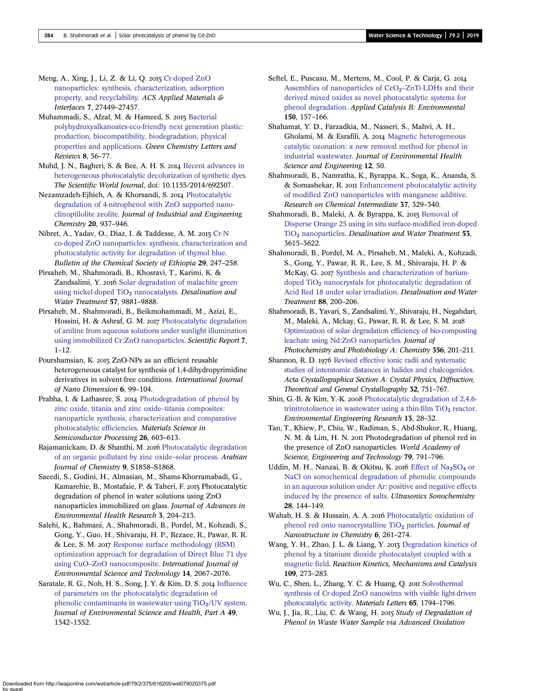<span id="page-9-0"></span>Meng, A., Xing, J., Li, Z. & Li, Q. 2015 [Cr-doped ZnO](http://dx.doi.org/10.1021/acsami.5b09366) [nanoparticles: synthesis, characterization, adsorption](http://dx.doi.org/10.1021/acsami.5b09366) [property, and recyclability](http://dx.doi.org/10.1021/acsami.5b09366). ACS Applied Materials & Interfaces 7, 27449–27457.

Muhammadi, S., Afzal, M. & Hameed, S. 2015 [Bacterial](http://dx.doi.org/10.1080/17518253.2015.1109715) [polyhydroxyalkanoates-eco-friendly next generation plastic:](http://dx.doi.org/10.1080/17518253.2015.1109715) [production, biocompatibility, biodegradation, physical](http://dx.doi.org/10.1080/17518253.2015.1109715) [properties and applications.](http://dx.doi.org/10.1080/17518253.2015.1109715) Green Chemistry Letters and Reviews 8, 56–77.

Muhd, J. N., Bagheri, S. & Bee, A. H. S. 2014 [Recent advances in](http://dx.doi.org/10.1155/2014/692307) [heterogeneous photocatalytic decolorization of synthetic dyes](http://dx.doi.org/10.1155/2014/692307). The Scientific World Journal, doi: 10.1155/2014/692307.

Nezamzadeh-Ejhieh, A. & Khorsandi, S. 2014 [Photocatalytic](http://dx.doi.org/10.1016/j.jiec.2013.06.026) [degradation of 4-nitrophenol with ZnO supported nano](http://dx.doi.org/10.1016/j.jiec.2013.06.026)[clinoptilolite zeolite](http://dx.doi.org/10.1016/j.jiec.2013.06.026). Journal of Industrial and Engineering Chemistry 20, 937–946.

Nibret, A., Yadav, O., Diaz, I. & Taddesse, A. M. 2015 [Cr-N](http://dx.doi.org/10.4314/bcse.v29i2.8) [co-doped ZnO nanoparticles: synthesis, characterization and](http://dx.doi.org/10.4314/bcse.v29i2.8) [photocatalytic activity for degradation of thymol blue.](http://dx.doi.org/10.4314/bcse.v29i2.8) Bulletin of the Chemical Society of Ethiopia 29, 247–258.

Pirsaheb, M., Shahmoradi, B., Khosravi, T., Karimi, K. & Zandsalimi, Y. 2016 [Solar degradation of malachite green](http://dx.doi.org/10.1080/19443994.2015.1033764) [using nickel-doped TiO](http://dx.doi.org/10.1080/19443994.2015.1033764)<sub>2</sub> [nanocatalysts](http://dx.doi.org/10.1080/19443994.2015.1033764). Desalination and Water Treatment 57, 9881–9888.

Pirsaheb, M., Shahmoradi, B., Beikmohammadi, M., Azizi, E., Hossini, H. & Ashraf, G. M. 2017 [Photocatalytic degradation](http://dx.doi.org/10.1038/s41598-016-0028-x) [of aniline from aqueous solutions under sunlight illumination](http://dx.doi.org/10.1038/s41598-016-0028-x) [using immobilized Cr:ZnO nanoparticles](http://dx.doi.org/10.1038/s41598-016-0028-x). Scientific Report 7, 1–12.

Pourshamsian, K. 2015 ZnO-NPs as an efficient reusable heterogeneous catalyst for synthesis of 1,4-dihydropyrimidine derivatives in solvent-free conditions. International Journal of Nano Dimension 6, 99–104.

Prabha, I. & Lathasree, S. 2014 [Photodegradation of phenol by](http://dx.doi.org/10.1016/j.mssp.2014.05.031) [zinc oxide, titania and zinc oxide](http://dx.doi.org/10.1016/j.mssp.2014.05.031)–titania composites: [nanoparticle synthesis, characterization and comparative](http://dx.doi.org/10.1016/j.mssp.2014.05.031) [photocatalytic efficiencies](http://dx.doi.org/10.1016/j.mssp.2014.05.031). Materials Science in Semiconductor Processing 26, 603–613.

Rajamanickam, D. & Shanthi, M. 2016 [Photocatalytic degradation](http://dx.doi.org/10.1016/j.arabjc.2012.05.006) [of an organic pollutant by zinc oxide](http://dx.doi.org/10.1016/j.arabjc.2012.05.006)–solar process. Arabian Journal of Chemistry 9, S1858–S1868.

Saeedi, S., Godini, H., Almasian, M., Shams-Khorramabadi, G., Kamarehie, B., Mostafaie, P. & Taheri, F. 2015 Photocatalytic degradation of phenol in water solutions using ZnO nanoparticles immobilized on glass. Journal of Advances in Environmental Health Research 3, 204–213.

Salehi, K., Bahmani, A., Shahmoradi, B., Pordel, M., Kohzadi, S., Gong, Y., Guo, H., Shivaraju, H. P., Rezaee, R., Pawar, R. R. & Lee, S. M. 2017 [Response surface methodology \(RSM\)](http://dx.doi.org/10.1007/s13762-017-1308-0) [optimization approach for degradation of Direct Blue 71 dye](http://dx.doi.org/10.1007/s13762-017-1308-0) using CuO–[ZnO nanocomposite](http://dx.doi.org/10.1007/s13762-017-1308-0). International Journal of Environmental Science and Technology 14, 2067–2076.

Saratale, R. G., Noh, H. S., Song, J. Y. & Kim, D. S. 2014 [Influence](http://dx.doi.org/10.1080/10934529.2014.938532) [of parameters on the photocatalytic degradation of](http://dx.doi.org/10.1080/10934529.2014.938532) phenolic contaminants in wastewater using  $TiO<sub>2</sub>/UV$  system. Journal of Environmental Science and Health, Part A 49, 1542–1552.

Seftel, E., Puscasu, M., Mertens, M., Cool, P. & Carja, G. 2014 Assemblies of nanoparticles of  $CeO<sub>2</sub>$ –[ZnTi-LDHs and their](http://dx.doi.org/10.1016/j.apcatb.2013.12.019) [derived mixed oxides as novel photocatalytic systems for](http://dx.doi.org/10.1016/j.apcatb.2013.12.019) [phenol degradation.](http://dx.doi.org/10.1016/j.apcatb.2013.12.019) Applied Catalysis B: Environmental 150, 157–166.

Shahamat, Y. D., Farzadkia, M., Nasseri, S., Mahvi, A. H., Gholami, M. & Esrafili, A. 2014 [Magnetic heterogeneous](http://dx.doi.org/10.1186/2052-336X-12-50) [catalytic ozonation: a new removal method for phenol in](http://dx.doi.org/10.1186/2052-336X-12-50) [industrial wastewater](http://dx.doi.org/10.1186/2052-336X-12-50). Journal of Environmental Health Science and Engineering 12, 50.

Shahmoradi, B., Namratha, K., Byrappa, K., Soga, K., Ananda, S. & Somashekar, R. 2011 [Enhancement photocatalytic activity](http://dx.doi.org/10.1007/s11164-011-0255-5) [of modified ZnO nanoparticles with manganese additive.](http://dx.doi.org/10.1007/s11164-011-0255-5) Research on Chemical Intermediate 37, 329–340.

Shahmoradi, B., Maleki, A. & Byrappa, K. 2015 [Removal of](http://dx.doi.org/10.1080/19443994.2013.873994) [Disperse Orange 25 using in situ surface-modified iron-doped](http://dx.doi.org/10.1080/19443994.2013.873994) [TiO](http://dx.doi.org/10.1080/19443994.2013.873994)<sub>2</sub> [nanoparticles](http://dx.doi.org/10.1080/19443994.2013.873994). Desalination and Water Treatment 53, 3615–3622.

Shahmoradi, B., Pordel, M. A., Pirsaheb, M., Maleki, A., Kohzadi, S., Gong, Y., Pawar, R. R., Lee, S. M., Shivaraju, H. P. & McKay, G. 2017 [Synthesis and characterization of barium](http://dx.doi.org/10.5004/dwt.2017.21424)[doped TiO](http://dx.doi.org/10.5004/dwt.2017.21424)<sub>2</sub> [nanocrystals for photocatalytic degradation of](http://dx.doi.org/10.5004/dwt.2017.21424) [Acid Red 18 under solar irradiation](http://dx.doi.org/10.5004/dwt.2017.21424). Desalination and Water Treatment 88, 200–206.

Shahmoradi, B., Yavari, S., Zandsalimi, Y., Shivaraju, H., Negahdari, M., Maleki, A., Mckay, G., Pawar, R. R. & Lee, S. M. [Optimization of solar degradation efficiency of bio-composting](http://dx.doi.org/10.1016/j.jphotochem.2018.01.002) [leachate using Nd:ZnO nanoparticles.](http://dx.doi.org/10.1016/j.jphotochem.2018.01.002) Journal of Photochemistry and Photobiology A: Chemistry 356, 201–211.

Shannon, R. D. 1976 [Revised effective ionic radii and systematic](http://dx.doi.org/10.1107/S0567739476001551) [studies of interatomic distances in halides and chalcogenides](http://dx.doi.org/10.1107/S0567739476001551). Acta Crystallographica Section A: Crystal Physics, Diffraction, Theoretical and General Crystallography 32, 751–767.

Shin, G.-B. & Kim, Y.-K. 2008 [Photocatalytic degradation of 2,4,6](http://dx.doi.org/10.4491/eer.2008.13.1.028) trinitrotoluence in wastewater using a thin-film  $TiO<sub>2</sub>$  [reactor](http://dx.doi.org/10.4491/eer.2008.13.1.028). Environmental Engineering Research 13, 28–32.

Tan, T., Khiew, P., Chiu, W., Radiman, S., Abd-Shukor, R., Huang, N. M. & Lim, H. N. 2011 Photodegradation of phenol red in the presence of ZnO nanoparticles. World Academy of Science, Engineering and Technology 79, 791–796.

Uddin, M. H., Nanzai, B. & Okitsu, K. 2016 [Effect of Na](http://dx.doi.org/10.1016/j.ultsonch.2015.06.028)<sub>2</sub>[SO](http://dx.doi.org/10.1016/j.ultsonch.2015.06.028)<sub>4</sub> [or](http://dx.doi.org/10.1016/j.ultsonch.2015.06.028) [NaCl on sonochemical degradation of phenolic compounds](http://dx.doi.org/10.1016/j.ultsonch.2015.06.028) [in an aqueous solution under Ar: positive and negative effects](http://dx.doi.org/10.1016/j.ultsonch.2015.06.028) [induced by the presence of salts.](http://dx.doi.org/10.1016/j.ultsonch.2015.06.028) Ultrasonics Sonochemistry 28, 144–149.

Wahab, H. S. & Hussain, A. A. 2016 [Photocatalytic oxidation of](http://dx.doi.org/10.1007/s40097-016-0199-9) [phenol red onto nanocrystalline TiO](http://dx.doi.org/10.1007/s40097-016-0199-9)<sub>2</sub> [particles](http://dx.doi.org/10.1007/s40097-016-0199-9). *Journal of* Nanostructure in Chemistry 6, 261–274.

Wang, Y. H., Zhao, J. L. & Liang, Y. 2013 [Degradation kinetics of](http://dx.doi.org/10.1007/s11144-012-0537-y) [phenol by a titanium dioxide photocatalyst coupled with a](http://dx.doi.org/10.1007/s11144-012-0537-y) [magnetic field](http://dx.doi.org/10.1007/s11144-012-0537-y). Reaction Kinetics, Mechanisms and Catalysis 109, 273–283.

Wu, C., Shen, L., Zhang, Y. C. & Huang, Q. 2011 [Solvothermal](http://dx.doi.org/10.1016/j.matlet.2011.03.070) [synthesis of Cr-doped ZnO nanowires with visible light-driven](http://dx.doi.org/10.1016/j.matlet.2011.03.070) [photocatalytic activity.](http://dx.doi.org/10.1016/j.matlet.2011.03.070) Materials Letters 65, 1794–1796.

Wu, J., Jia, R., Liu, C. & Wang, H. 2015 Study of Degradation of Phenol in Waste Water Sample via Advanced Oxidation

Downloaded from http://iwaponline.com/wst/article-pdf/79/2/375/616205/wst079020375.pdf by guest